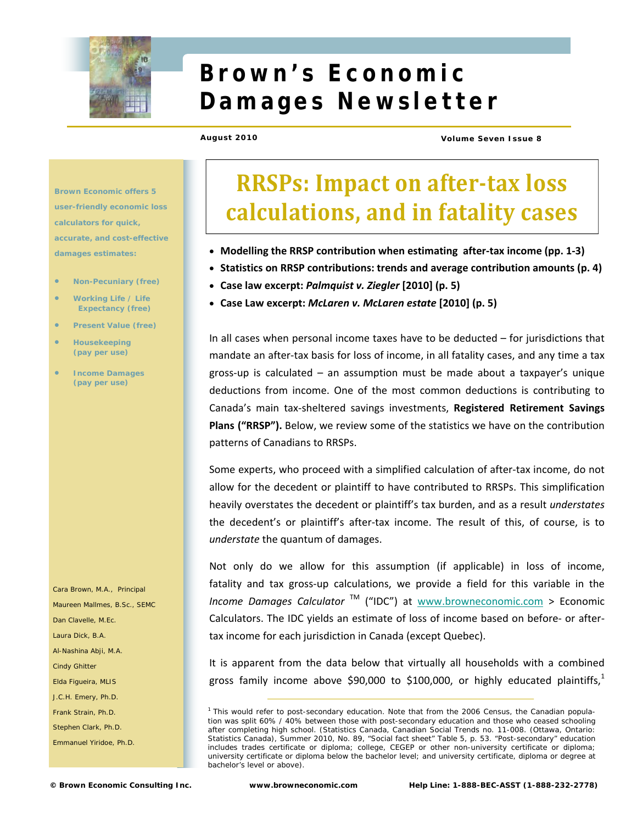

# **Brown's Economic Damages Newsletter**

**August 2010 Volume Seven Issue 8** 

**Brown Economic offers 5 user-friendly economic loss calculators for quick, accurate, and cost-effective damages estimates:** 

- **Non-Pecuniary (free)**
- **Working Life / Life Expectancy (free)**
- **Present Value (free)**
- **Housekeeping (pay per use)**
- **Income Damages (pay per use)**

Cara Brown, M.A., Principal Maureen Mallmes, B.Sc., SEMC Dan Clavelle, M.Ec. Laura Dick, B.A. Al-Nashina Abji, M.A. Cindy Ghitter Elda Figueira, MLIS J.C.H. Emery, Ph.D. Frank Strain, Ph.D. Stephen Clark, Ph.D. Emmanuel Yiridoe, Ph.D.

# **RRSPs: Impact on aftertax loss calculations, and in fatality cases**

- **Modelling the RRSP contribution when estimating after‐tax income (pp. 1‐3)**
- **Statistics on RRSP contributions: trends and average contribution amounts (p. 4)**
- **Case law excerpt:** *Palmquist v. Ziegler* **[2010] (p. 5)**
- **Case Law excerpt:** *McLaren v. McLaren estate* **[2010] (p. 5)**

In all cases when personal income taxes have to be deducted – for jurisdictions that mandate an after‐tax basis for loss of income, in all fatality cases, and any time a tax gross‐up is calculated – an assumption must be made about a taxpayer's unique deductions from income. One of the most common deductions is contributing to Canada's main tax‐sheltered savings investments, **Registered Retirement Savings Plans ("RRSP").** Below, we review some of the statistics we have on the contribution patterns of Canadians to RRSPs.

Some experts, who proceed with a simplified calculation of after-tax income, do not allow for the decedent or plaintiff to have contributed to RRSPs. This simplification heavily overstates the decedent or plaintiff's tax burden, and as a result *understates* the decedent's or plaintiff's after‐tax income. The result of this, of course, is to *understate* the quantum of damages.

Not only do we allow for this assumption (if applicable) in loss of income, fatality and tax gross-up calculations, we provide a field for this variable in the *Income Damages Calculator* TM ("IDC") at www.browneconomic.com > Economic Calculators. The IDC yields an estimate of loss of income based on before‐ or after‐ tax income for each jurisdiction in Canada (except Quebec).

It is apparent from the data below that virtually all households with a combined gross family income above \$90,000 to \$100,000, or highly educated plaintiffs,<sup>1</sup>

<sup>&</sup>lt;sup>1</sup> This would refer to post-secondary education. Note that from the 2006 Census, the Canadian population was split 60% / 40% between those with post-secondary education and those who ceased schooling after completing high school. (Statistics Canada, *Canadian Social Trends* no. 11-008. (Ottawa, Ontario: Statistics Canada), Summer 2010, No. 89, "Social fact sheet" Table 5, p. 53. "Post-secondary" education includes trades certificate or diploma; college, CEGEP or other non-university certificate or diploma; university certificate or diploma *below* the bachelor level; and university certificate, diploma or degree at bachelor's level or above).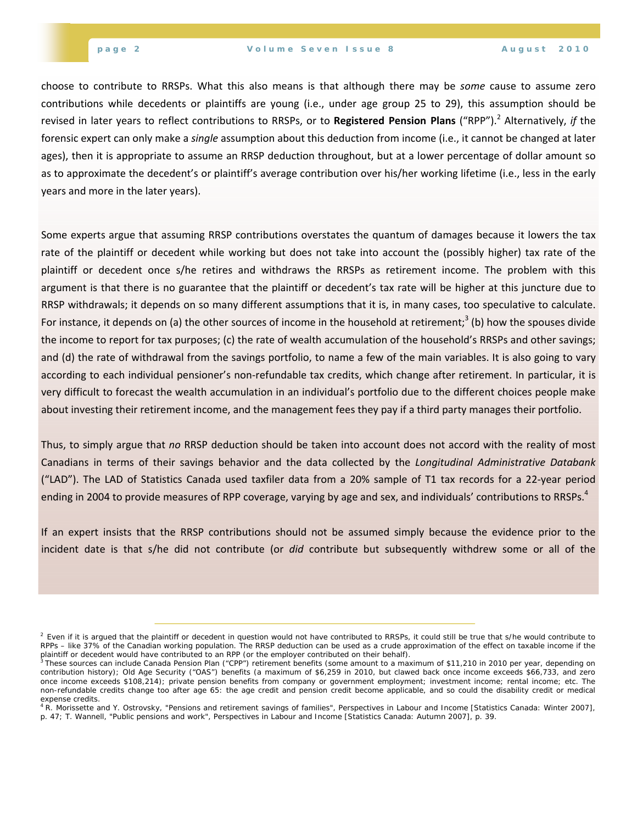choose to contribute to RRSPs. What this also means is that although there may be *some* cause to assume zero contributions while decedents or plaintiffs are young (i.e., under age group 25 to 29), this assumption should be revised in later years to reflect contributions to RRSPs, or to **Registered Pension Plans** ("RPP").<sup>2</sup> Alternatively, *if* the forensic expert can only make a *single* assumption about this deduction from income (i.e., it cannot be changed at later ages), then it is appropriate to assume an RRSP deduction throughout, but at a lower percentage of dollar amount so as to approximate the decedent's or plaintiff's average contribution over his/her working lifetime (i.e., less in the early years and more in the later years).

Some experts argue that assuming RRSP contributions overstates the quantum of damages because it lowers the tax rate of the plaintiff or decedent while working but does not take into account the (possibly higher) tax rate of the plaintiff or decedent once s/he retires and withdraws the RRSPs as retirement income. The problem with this argument is that there is no guarantee that the plaintiff or decedent's tax rate will be higher at this juncture due to RRSP withdrawals; it depends on so many different assumptions that it is, in many cases, too speculative to calculate. For instance, it depends on (a) the other sources of income in the household at retirement;<sup>3</sup> (b) how the spouses divide the income to report for tax purposes; (c) the rate of wealth accumulation of the household's RRSPs and other savings; and (d) the rate of withdrawal from the savings portfolio, to name a few of the main variables. It is also going to vary according to each individual pensioner's non-refundable tax credits, which change after retirement. In particular, it is very difficult to forecast the wealth accumulation in an individual's portfolio due to the different choices people make about investing their retirement income, and the management fees they pay if a third party manages their portfolio.

Thus, to simply argue that *no* RRSP deduction should be taken into account does not accord with the reality of most Canadians in terms of their savings behavior and the data collected by the *Longitudinal Administrative Databank* ("LAD"). The LAD of Statistics Canada used taxfiler data from a 20% sample of T1 tax records for a 22‐year period ending in 2004 to provide measures of RPP coverage, varying by age and sex, and individuals' contributions to RRSPs.<sup>4</sup>

If an expert insists that the RRSP contributions should not be assumed simply because the evidence prior to the incident date is that s/he did not contribute (or *did* contribute but subsequently withdrew some or all of the

 $^2$  Even if it is argued that the plaintiff or decedent in question would not have contributed to RRSPs, it could still be true that s/he would contribute to RPPs – like 37% of the Canadian working population. The RRSP deduction can be used as a crude approximation of the effect on taxable income if the

plaintiff or decedent would have contributed to an RPP (or the employer contributed on their behalf).<br><sup>3</sup> These sources can include Canada Pension Plan ("CPP") retirement benefits (some amount to a maximum of \$11,210 in 20 contribution history); Old Age Security ("OAS") benefits (a maximum of \$6,259 in 2010, but clawed back once income exceeds \$66,733, and zero once income exceeds \$108,214); private pension benefits from company or government employment; investment income; rental income; etc. The non-refundable credits change too after age 65: the age credit and pension credit become applicable, and so could the disability credit or medical expense credits.<br><sup>4</sup> R. Morissette and Y. Ostrovsky, "Pensions and retirement savings of families", *Perspectives in Labour and Income* [Statistics Canada: Winter 2007],

p. 47; T. Wannell, "Public pensions and work", *Perspectives in Labour and Income* [Statistics Canada: Autumn 2007], p. 39.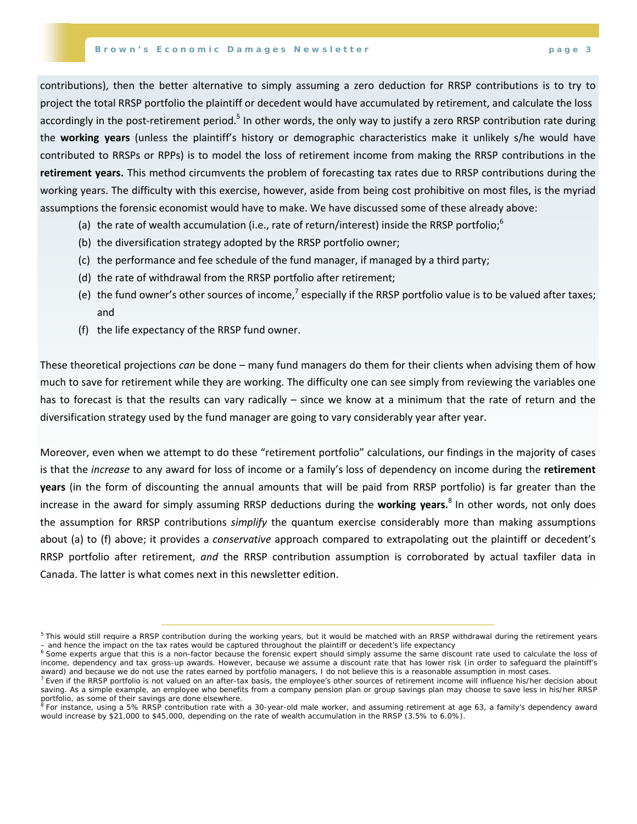contributions), then the better alternative to simply assuming a zero deduction for RRSP contributions is to try to project the total RRSP portfolio the plaintiff or decedent would have accumulated by retirement, and calculate the loss accordingly in the post-retirement period.<sup>5</sup> In other words, the only way to justify a zero RRSP contribution rate during the **working years** (unless the plaintiff's history or demographic characteristics make it unlikely s/he would have contributed to RRSPs or RPPs) is to model the loss of retirement income from making the RRSP contributions in the **retirement years.** This method circumvents the problem of forecasting tax rates due to RRSP contributions during the working years. The difficulty with this exercise, however, aside from being cost prohibitive on most files, is the myriad assumptions the forensic economist would have to make. We have discussed some of these already above:

- (a) the rate of wealth accumulation (i.e., rate of return/interest) inside the RRSP portfolio; $^{\circ}$
- (b) the diversification strategy adopted by the RRSP portfolio owner;
- (c) the performance and fee schedule of the fund manager, if managed by a third party;
- (d) the rate of withdrawal from the RRSP portfolio after retirement;
- (e) the fund owner's other sources of income,<sup>7</sup> especially if the RRSP portfolio value is to be valued after taxes; and
- (f) the life expectancy of the RRSP fund owner.

These theoretical projections *can* be done – many fund managers do them for their clients when advising them of how much to save for retirement while they are working. The difficulty one can see simply from reviewing the variables one has to forecast is that the results can vary radically – since we know at a minimum that the rate of return and the diversification strategy used by the fund manager are going to vary considerably year after year.

Moreover, even when we attempt to do these "retirement portfolio" calculations, our findings in the majority of cases is that the *increase* to any award for loss of income or a family's loss of dependency on income during the **retirement years** (in the form of discounting the annual amounts that will be paid from RRSP portfolio) is far greater than the increase in the award for simply assuming RRSP deductions during the **working years.**<sup>8</sup> In other words, not only does the assumption for RRSP contributions *simplify* the quantum exercise considerably more than making assumptions about (a) to (f) above; it provides a *conservative* approach compared to extrapolating out the plaintiff or decedent's RRSP portfolio after retirement, *and* the RRSP contribution assumption is corroborated by actual taxfiler data in Canada. The latter is what comes next in this newsletter edition.

<sup>&</sup>lt;sup>5</sup> This would still require a RRSP contribution during the working years, but it would be matched with an RRSP withdrawal during the retirement years – and hence the impact on the tax rates would be captured throughout the plaintiff or decedent's life expectancy

 $6$  Some experts argue that this is a non-factor because the forensic expert should simply assume the same discount rate used to calculate the loss of income, dependency and tax gross-up awards. However, because we assume a discount rate that has lower risk (in order to safeguard the plaintiff's

award) and because we do not use the rates earned by portfolio managers, I do not believe this is a reasonable assumption in most cases.<br><sup>7</sup> Even if the RRSP portfolio is not valued on an after-tax basis, the employee's ot saving. As a simple example, an employee who benefits from a company pension plan or group savings plan may choose to save less in his/her RRSP portfolio, as some of their savings are done elsewhere.<br><sup>8</sup> For instance, using a 5% RRSP contribution rate with a 30-year-old male worker, and assuming retirement at age 63, a family's dependency award

would increase by \$21,000 to \$45,000, depending on the rate of wealth accumulation in the RRSP (3.5% to 6.0%).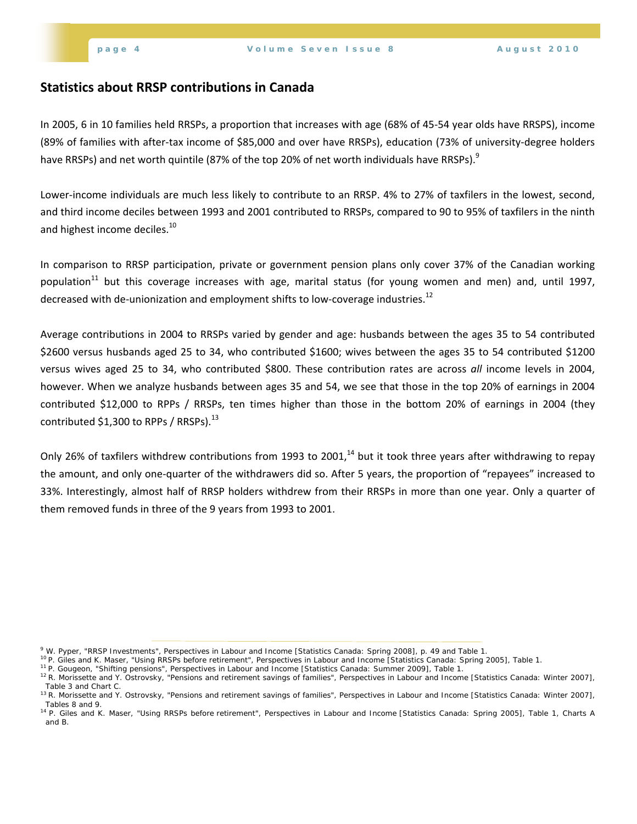### **Statistics about RRSP contributions in Canada**

In 2005, 6 in 10 families held RRSPs, a proportion that increases with age (68% of 45‐54 year olds have RRSPS), income (89% of families with after‐tax income of \$85,000 and over have RRSPs), education (73% of university‐degree holders have RRSPs) and net worth quintile (87% of the top 20% of net worth individuals have RRSPs).<sup>9</sup>

Lower‐income individuals are much less likely to contribute to an RRSP. 4% to 27% of taxfilers in the lowest, second, and third income deciles between 1993 and 2001 contributed to RRSPs, compared to 90 to 95% of taxfilers in the ninth and highest income deciles.<sup>10</sup>

In comparison to RRSP participation, private or government pension plans only cover 37% of the Canadian working population<sup>11</sup> but this coverage increases with age, marital status (for young women and men) and, until 1997, decreased with de-unionization and employment shifts to low-coverage industries.<sup>12</sup>

Average contributions in 2004 to RRSPs varied by gender and age: husbands between the ages 35 to 54 contributed \$2600 versus husbands aged 25 to 34, who contributed \$1600; wives between the ages 35 to 54 contributed \$1200 versus wives aged 25 to 34, who contributed \$800. These contribution rates are across *all* income levels in 2004, however. When we analyze husbands between ages 35 and 54, we see that those in the top 20% of earnings in 2004 contributed \$12,000 to RPPs / RRSPs, ten times higher than those in the bottom 20% of earnings in 2004 (they contributed \$1,300 to RPPs / RRSPs $.13$ 

Only 26% of taxfilers withdrew contributions from 1993 to 2001, $^{14}$  but it took three years after withdrawing to repay the amount, and only one‐quarter of the withdrawers did so. After 5 years, the proportion of "repayees" increased to 33%. Interestingly, almost half of RRSP holders withdrew from their RRSPs in more than one year. Only a quarter of them removed funds in three of the 9 years from 1993 to 2001.

<sup>&</sup>lt;sup>9</sup> W. Pyper, "RRSP Investments", Perspectives in Labour and Income [Statistics Canada: Spring 2008], p. 49 and Table 1.

<sup>&</sup>lt;sup>10</sup> P. Giles and K. Maser, "Using RRSPs before retirement", *Perspectives in Labour and Income* [Statistics Canada: Spring 2005], Table 1.<br><sup>11</sup> P. Gougeon, "Shifting pensions", *Perspectives in Labour and Income* [Statist Table 3 and Chart C.

<sup>13</sup> R. Morissette and Y. Ostrovsky, "Pensions and retirement savings of families", *Perspectives in Labour and Income* [Statistics Canada: Winter 2007], Tables 8 and 9.

<sup>14</sup> P. Giles and K. Maser, "Using RRSPs before retirement", *Perspectives in Labour and Income* [Statistics Canada: Spring 2005], Table 1, Charts A and B.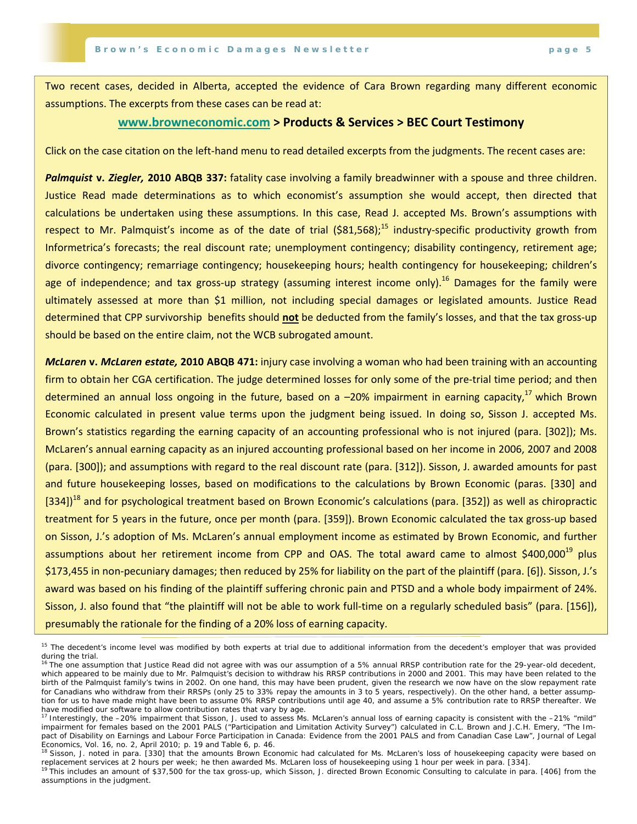Two recent cases, decided in Alberta, accepted the evidence of Cara Brown regarding many different economic assumptions. The excerpts from these cases can be read at:

#### **www.browneconomic.com > Products & Services > BEC Court Testimony**

Click on the case citation on the left‐hand menu to read detailed excerpts from the judgments. The recent cases are:

*Palmquist* **v.** *Ziegler,* **2010 ABQB 337:** fatality case involving a family breadwinner with a spouse and three children. Justice Read made determinations as to which economist's assumption she would accept, then directed that calculations be undertaken using these assumptions. In this case, Read J. accepted Ms. Brown's assumptions with respect to Mr. Palmquist's income as of the date of trial ( $\text{S}81.568$ ):<sup>15</sup> industry-specific productivity growth from Informetrica's forecasts; the real discount rate; unemployment contingency; disability contingency, retirement age; divorce contingency; remarriage contingency; housekeeping hours; health contingency for housekeeping; children's age of independence; and tax gross-up strategy (assuming interest income only).<sup>16</sup> Damages for the family were ultimately assessed at more than \$1 million, not including special damages or legislated amounts. Justice Read determined that CPP survivorship benefits should **not** be deducted from the family's losses, and that the tax gross‐up should be based on the entire claim, not the WCB subrogated amount.

*McLaren* **v.** *McLaren estate,* **2010 ABQB 471:** injury case involving a woman who had been training with an accounting firm to obtain her CGA certification. The judge determined losses for only some of the pre-trial time period; and then determined an annual loss ongoing in the future, based on a  $-20%$  impairment in earning capacity,<sup>17</sup> which Brown Economic calculated in present value terms upon the judgment being issued. In doing so, Sisson J. accepted Ms. Brown's statistics regarding the earning capacity of an accounting professional who is not injured (para. [302]); Ms. McLaren's annual earning capacity as an injured accounting professional based on her income in 2006, 2007 and 2008 (para. [300]); and assumptions with regard to the real discount rate (para. [312]). Sisson, J. awarded amounts for past and future housekeeping losses, based on modifications to the calculations by Brown Economic (paras. [330] and [334])<sup>18</sup> and for psychological treatment based on Brown Economic's calculations (para. [352]) as well as chiropractic treatment for 5 years in the future, once per month (para. [359]). Brown Economic calculated the tax gross‐up based on Sisson, J.'s adoption of Ms. McLaren's annual employment income as estimated by Brown Economic, and further assumptions about her retirement income from CPP and OAS. The total award came to almost \$400,000<sup>19</sup> plus \$173,455 in non‐pecuniary damages; then reduced by 25% for liability on the part of the plaintiff (para. [6]). Sisson, J.'s award was based on his finding of the plaintiff suffering chronic pain and PTSD and a whole body impairment of 24%. Sisson, J. also found that "the plaintiff will not be able to work full‐time on a regularly scheduled basis" (para. [156]), presumably the rationale for the finding of a 20% loss of earning capacity.

<sup>&</sup>lt;sup>15</sup> The decedent's income level was modified by both experts at trial due to additional information from the decedent's employer that was provided during the trial.

<sup>&</sup>lt;sup>16</sup> The one assumption that Justice Read did not agree with was our assumption of a 5% annual RRSP contribution rate for the 29-year-old decedent, which appeared to be mainly due to Mr. Palmquist's decision to withdraw his RRSP contributions in 2000 and 2001. This may have been related to the birth of the Palmquist family's twins in 2002. On one hand, this may have been prudent, given the research we now have on the slow repayment rate for Canadians who withdraw from their RRSPs (only 25 to 33% repay the amounts in 3 to 5 years, respectively). On the other hand, a better assumption for us to have made might have been to assume 0% RRSP contributions until age 40, and assume a 5% contribution rate to RRSP thereafter. We have modified our software to allow contribution rates that vary by age.

<sup>17</sup> Interestingly, the -20% impairment that Sisson, J. used to assess Ms. McLaren's annual loss of earning capacity is consistent with the -21% "mild" impairment for females based on the 2001 PALS ("Participation and Limitation Activity Survey") calculated in C.L. Brown and J.C.H. Emery, "The Impact of Disability on Earnings and Labour Force Participation in Canada: Evidence from the 2001 PALS and from Canadian Case Law", *Journal of Legal Economics*, Vol. 16, no. 2, April 2010; p. 19 and Table 6, p. 46.

<sup>&</sup>lt;sup>18</sup> Sisson, J. noted in para. [330] that the amounts Brown Economic had calculated for Ms. McLaren's loss of housekeeping capacity were based on replacement services at 2 hours per week; he then awarded Ms. McLaren loss of housekeeping using 1 hour per week in para. [334]. (334].

assumptions in the judgment.